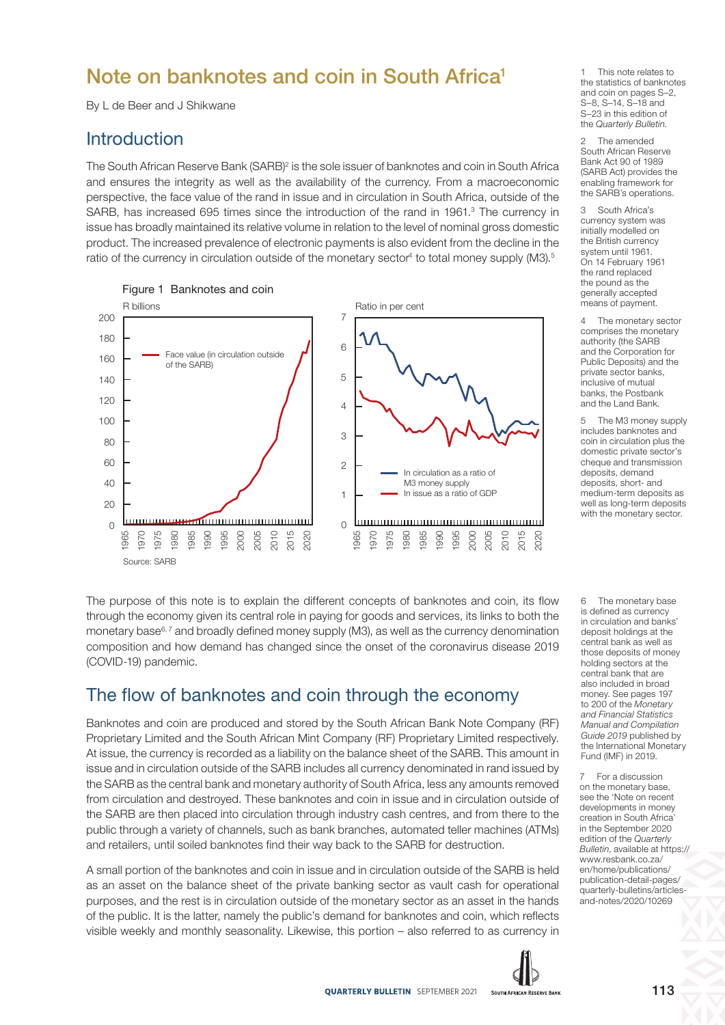# Note on banknotes and coin in South Africa<sup>1</sup>

By L de Beer and J Shikwane

#### **Introduction**

The South African Reserve Bank (SARB)<sup>2</sup> is the sole issuer of banknotes and coin in South Africa and ensures the integrity as well as the availability of the currency. From a macroeconomic perspective, the face value of the rand in issue and in circulation in South Africa, outside of the SARB, has increased 695 times since the introduction of the rand in 1961.<sup>3</sup> The currency in issue has broadly maintained its relative volume in relation to the level of nominal gross domestic product. The increased prevalence of electronic payments is also evident from the decline in the ratio of the currency in circulation outside of the monetary sector<sup>4</sup> to total money supply (M3).<sup>5</sup>



The purpose of this note is to explain the different concepts of banknotes and coin, its flow through the economy given its central role in paying for goods and services, its links to both the monetary base<sup>6, 7</sup> and broadly defined money supply (M3), as well as the currency denomination composition and how demand has changed since the onset of the coronavirus disease 2019 (COVID-19) pandemic.

### The flow of banknotes and coin through the economy

Banknotes and coin are produced and stored by the South African Bank Note Company (RF) Proprietary Limited and the South African Mint Company (RF) Proprietary Limited respectively. At issue, the currency is recorded as a liability on the balance sheet of the SARB. This amount in issue and in circulation outside of the SARB includes all currency denominated in rand issued by the SARB as the central bank and monetary authority of South Africa, less any amounts removed from circulation and destroyed. These banknotes and coin in issue and in circulation outside of the SARB are then placed into circulation through industry cash centres, and from there to the public through a variety of channels, such as bank branches, automated teller machines (ATMs) and retailers, until soiled banknotes find their way back to the SARB for destruction.

A small portion of the banknotes and coin in issue and in circulation outside of the SARB is held as an asset on the balance sheet of the private banking sector as vault cash for operational purposes, and the rest is in circulation outside of the monetary sector as an asset in the hands of the public. It is the latter, namely the public's demand for banknotes and coin, which reflects visible weekly and monthly seasonality. Likewise, this portion – also referred to as currency in



This note relates to the statistics of banknotes and coin on pages S–2, S–8, S–14, S–18 and S–23 in this edition of the Quarterly Bulletin.

2 The amended South African Reserve Bank Act 90 of 1989 (SARB Act) provides the enabling framework for the SARB's operations.

3 South Africa's currency system was initially modelled on the British currency system until 1961. On 14 February 1961 the rand replaced the pound as the generally accepted means of payment.

The monetary sector comprises the monetary authority (the SARB and the Corporation for Public Deposits) and the private sector banks, inclusive of mutual banks, the Postbank and the Land Bank.

5 The M3 money supply includes banknotes and coin in circulation plus the domestic private sector's cheque and transmission deposits, demand deposits, short- and medium-term deposits as well as long-term deposits with the monetary sector.

The monetary base is defined as currency in circulation and banks' deposit holdings at the central bank as well as those deposits of money holding sectors at the central bank that are also included in broad money. See pages 197 to 200 of the Monetary and Financial Statistics Manual and Compilation Guide 2019 published by the International Monetary Fund (IMF) in 2019.

7 For a discussion on the monetary base, see the 'Note on recent developments in money creation in South Africa' in the September 2020 edition of the Quarterly Bulletin, available at https:// www.resbank.co.za/ en/home/publications/ publication-detail-pages/ quarterly-bulletins/articlesand-notes/2020/10269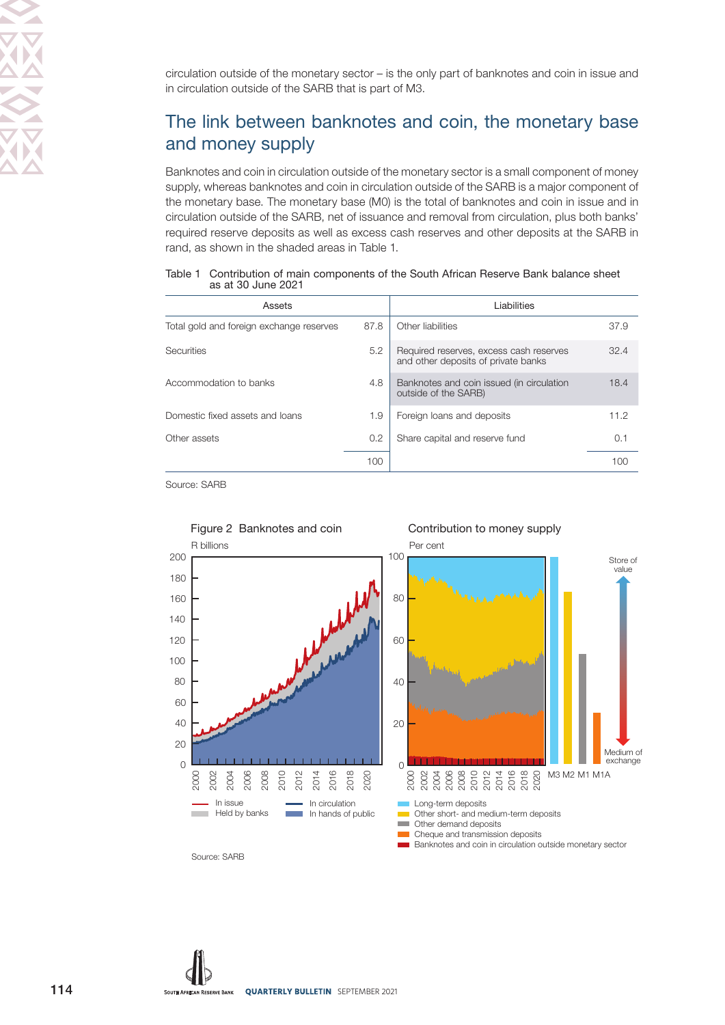circulation outside of the monetary sector – is the only part of banknotes and coin in issue and in circulation outside of the SARB that is part of M3.

### The link between banknotes and coin, the monetary base and money supply

Banknotes and coin in circulation outside of the monetary sector is a small component of money supply, whereas banknotes and coin in circulation outside of the SARB is a major component of the monetary base. The monetary base (M0) is the total of banknotes and coin in issue and in circulation outside of the SARB, net of issuance and removal from circulation, plus both banks' required reserve deposits as well as excess cash reserves and other deposits at the SARB in rand, as shown in the shaded areas in Table 1.

Table 1 Contribution of main components of the South African Reserve Bank balance sheet as at 30 June 2021

| Assets                                   |      | Liabilities                                                                    |      |
|------------------------------------------|------|--------------------------------------------------------------------------------|------|
| Total gold and foreign exchange reserves | 87.8 | Other liabilities                                                              | 37.9 |
| Securities                               | 5.2  | Required reserves, excess cash reserves<br>and other deposits of private banks | 32.4 |
| Accommodation to banks                   | 4.8  | Banknotes and coin issued (in circulation<br>outside of the SARB)              | 18.4 |
| Domestic fixed assets and loans          | 1.9  | Foreign loans and deposits                                                     | 11.2 |
| Other assets                             | 0.2  | Share capital and reserve fund                                                 | 0.1  |
|                                          | 100  |                                                                                | 100  |

Source: SARB



Source: SARB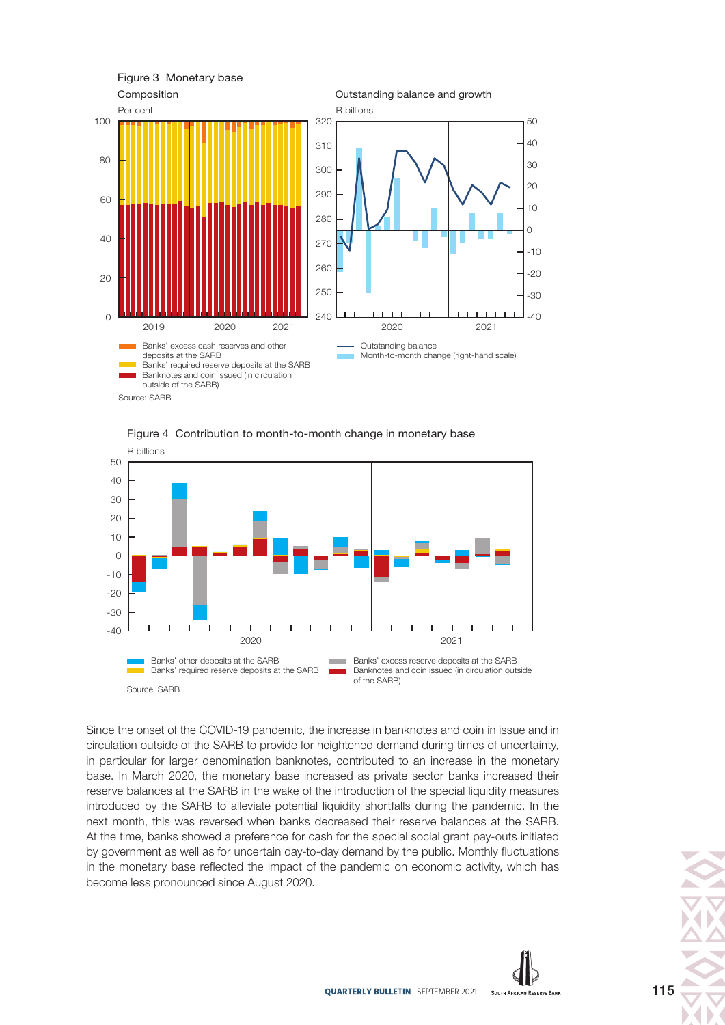

Figure 4 Contribution to month-to-month change in monetary base



Since the onset of the COVID-19 pandemic, the increase in banknotes and coin in issue and in circulation outside of the SARB to provide for heightened demand during times of uncertainty, in particular for larger denomination banknotes, contributed to an increase in the monetary base. In March 2020, the monetary base increased as private sector banks increased their reserve balances at the SARB in the wake of the introduction of the special liquidity measures introduced by the SARB to alleviate potential liquidity shortfalls during the pandemic. In the next month, this was reversed when banks decreased their reserve balances at the SARB. At the time, banks showed a preference for cash for the special social grant pay-outs initiated by government as well as for uncertain day-to-day demand by the public. Monthly fluctuations in the monetary base reflected the impact of the pandemic on economic activity, which has become less pronounced since August 2020.



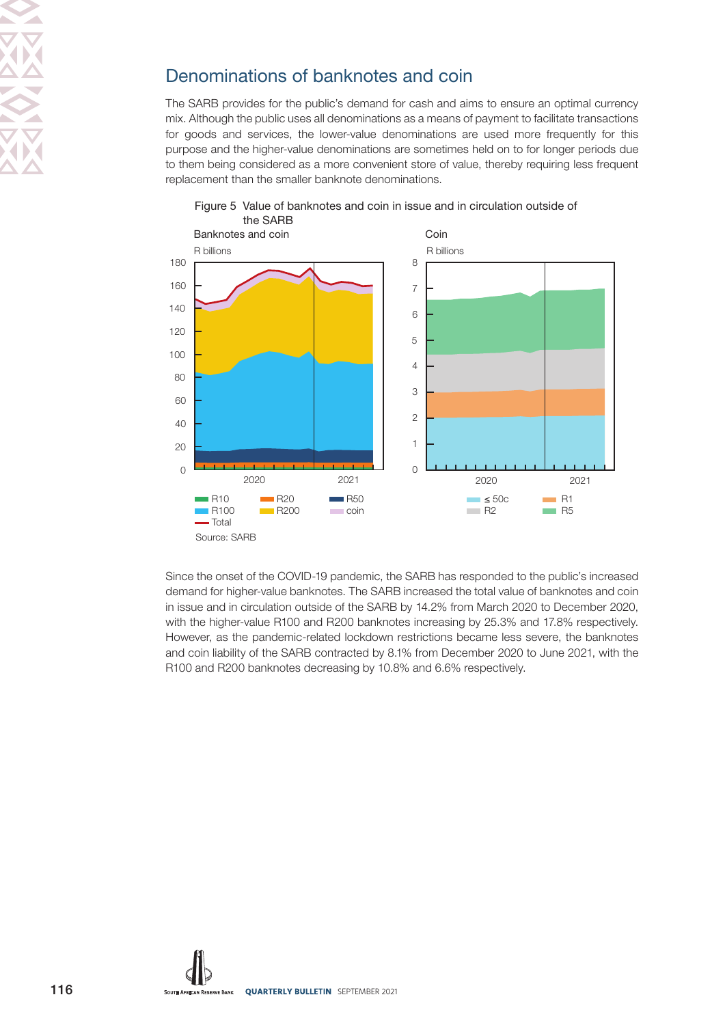## Denominations of banknotes and coin

The SARB provides for the public's demand for cash and aims to ensure an optimal currency mix. Although the public uses all denominations as a means of payment to facilitate transactions for goods and services, the lower-value denominations are used more frequently for this purpose and the higher-value denominations are sometimes held on to for longer periods due to them being considered as a more convenient store of value, thereby requiring less frequent replacement than the smaller banknote denominations.



Figure 5 Value of banknotes and coin in issue and in circulation outside of the SARB

Since the onset of the COVID-19 pandemic, the SARB has responded to the public's increased demand for higher-value banknotes. The SARB increased the total value of banknotes and coin in issue and in circulation outside of the SARB by 14.2% from March 2020 to December 2020, with the higher-value R100 and R200 banknotes increasing by 25.3% and 17.8% respectively. However, as the pandemic-related lockdown restrictions became less severe, the banknotes and coin liability of the SARB contracted by 8.1% from December 2020 to June 2021, with the R100 and R200 banknotes decreasing by 10.8% and 6.6% respectively.